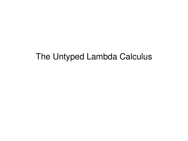# The Untyped Lambda Calculus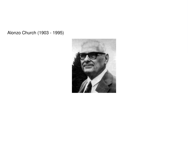Alonzo Church (1903 - 1995)

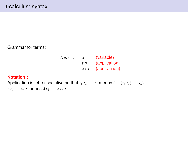Grammar for terms:

$$
t, u, v ::= x \quad \text{(variable)} \quad |
$$
  
\n
$$
t u \quad \text{(application)} \quad |
$$
  
\n
$$
\lambda x.t \quad \text{(abstraction)}
$$

### **Notation :**

Application is left-associative so that  $t_1$   $t_2$  ...  $t_n$  means  $(\ldots (t_1 t_2) \ldots t_n)$ .  $\lambda x_1 \ldots x_n$ *t* means  $\lambda x_1 \ldots \lambda x_n$ *t*.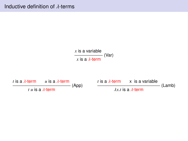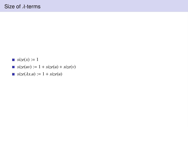- *size* $(x) := 1$
- *size*(*uv*) := 1 + *size*(*u*) + *size*(*v*)
- *size*( $\lambda x.u$ ) := 1 + *size*( $u$ )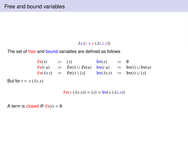#### λ*x*.(*<sup>z</sup> <sup>x</sup> <sup>y</sup>* (λ*z*.*<sup>z</sup> <sup>y</sup>*))

The set of free and bound variables are defined as follows

| $\mathbf{fv}(x)$           | $:=$ | $\{x\}$                              | $\mathbf{bv}(x)$           | $:=$ | $\emptyset$                          |
|----------------------------|------|--------------------------------------|----------------------------|------|--------------------------------------|
| $\mathbf{fv}(t \ u)$       | $:=$ | $\mathbf{fv}(t) \cup \mathbf{fv}(u)$ | $\mathbf{bv}(t \ u)$       | $:=$ | $\mathbf{bv}(t) \cup \mathbf{bv}(u)$ |
| $\mathbf{fv}(\lambda x.t)$ | $:=$ | $\mathbf{fv}(t) \setminus \{x\}$     | $\mathbf{bv}(\lambda x.t)$ | $:=$ | $\mathbf{bv}(t) \cup \{x\}$          |

But for  $t = x (\lambda x.x)$ 

$$
\mathbf{fv}(x \, (\lambda x.x)) = \{x\} = \mathbf{bv}(x \, (\lambda x.x))
$$

A term is closed iff  $f**v**(*t*) =  $\emptyset$ .$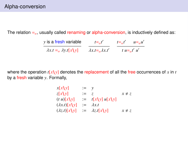The relation  $=$ <sub>α</sub>, usually called renaming or alpha-conversion, is inductively defined as:

| y is a fresh variable                     | $t = \alpha t'$              | $t = \alpha t'$ | $u = \alpha u'$ |
|-------------------------------------------|------------------------------|-----------------|-----------------|
| $\lambda x.t =_{\alpha} \lambda y.t[x y]$ | $\lambda x.t = \lambda x.t'$ |                 | t $u = u'$ u'   |

where the operation  $t[x\$ \gamma] denotes the replacement of all the free occurrences of *x* in *t* by a fresh variable *y*. Formally,

| $x[x\ y]$                      | $:= v$ |                       |            |
|--------------------------------|--------|-----------------------|------------|
| z[x y]                         | $:=$   | $\overline{z}$        | $x \neq z$ |
| $(t u)[x \setminus y]$         |        | $:=$ $t[x\ y]u[x\ y]$ |            |
| $(\lambda x.t)[x \setminus y]$ | $:=$   | $\lambda x.t$         |            |
| $(\lambda z.t)[x \setminus y]$ |        | $:= \lambda z.t[x y]$ | $x \neq z$ |
|                                |        |                       |            |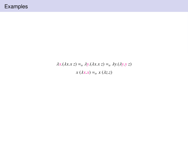$$
\lambda x.(\lambda x.x z) =_{\alpha} \lambda y.(\lambda x.x z) =_{\alpha} \lambda y.(\lambda y.y z)
$$

$$
x (\lambda x.x) =_{\alpha} x (\lambda z.z)
$$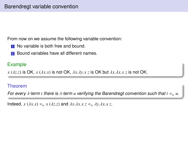From now on we assume the following variable convention:

- **1** No variable is both free and bound.
- <sup>2</sup> Bound variables have all different names.

# Example

 $x (\lambda z. z)$  is OK,  $x (\lambda x. x)$  is not OK,  $\lambda x. \lambda y. x z$  is OK but  $\lambda x. \lambda x. x z$  is not OK.

# Theorem

For every  $\lambda$ -term *t* there is  $\lambda$ -term *u* verifying the Barendregt convention such that  $t = \alpha$  *u*.

Indeed,  $x (\lambda x.x) =_{\alpha} x (\lambda z.z)$  and  $\lambda x.\lambda x.x =_{\alpha} \lambda y.\lambda x.x z$ .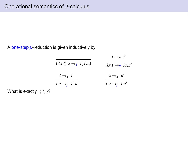A one-step  $\beta$ -reduction is given inductively by

|                                         | $t \rightarrow_{\beta} t'$                     |  |
|-----------------------------------------|------------------------------------------------|--|
| $(\lambda x.t) u \rightarrow_B t\{x\}u$ | $\lambda x.t \rightarrow_{\beta} \lambda x.t'$ |  |
| $t \rightarrow_{\beta} t'$              | $u \rightarrow_{\beta} u'$                     |  |
| $t u \rightarrow_{\beta} t' u$          | $t u \rightarrow_B t u'$                       |  |

What is exactly  $\{\ \cdot\ \}$ ?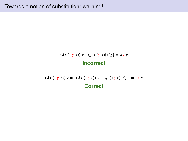# $(\lambda x.(\lambda y.x)) y \rightarrow_{\beta} (\lambda y.x)(x\ y) = \lambda y.y$ **Incorrect**

 $(\lambda x.(\lambda y.x))$   $y =_{\alpha} (\lambda x.(\lambda z.x))$   $y \rightarrow_{\beta} (\lambda z.x)(x\backslash y) = \lambda z.y$ **Correct**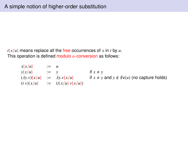$t\{x/u\}$  means replace all the free occurrences of x in t by u. This operation is defined modulo  $\alpha$ -conversion as follows:

> $x\{x/u\}$  := *u*  $y\{x/u\}$  := *y* if  $x \neq y$  $(\lambda y.\nu){x/u}$  :=  $\lambda y.\nu{x/u}$  if  $x \neq y$  and  $y \notin f\nu(u)$  (no capture holds)  $(t \nu)\{x/u\}$  :=  $(t\{x/u\} \nu\{x/u\})$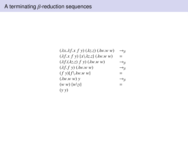$$
(\lambda x.\lambda f.x f y) (\lambda z.z) (\lambda w.w w) \rightarrow_{\beta}
$$
  
\n
$$
(\lambda f.x f y) \{x \lambda z.z \} (\lambda w.w w) = (\lambda f.(\lambda z.z) f y) (\lambda w.w w) \rightarrow_{\beta}
$$
  
\n
$$
(\lambda f.f y) (\lambda w.w w) \rightarrow_{\beta}
$$
  
\n
$$
(\lambda f.f y) (\lambda w.w w) \rightarrow_{\beta}
$$
  
\n
$$
(\lambda w.w w) y \rightarrow_{\beta}
$$
  
\n
$$
(\lambda w.w w) y \rightarrow_{\beta}
$$
  
\n
$$
(\lambda w w) \{w \} \} =
$$
  
\n
$$
(\lambda y y)
$$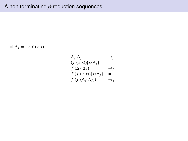Let  $\Delta_f = \lambda x.f(x x)$ .

$$
\Delta_f \Delta_f \longrightarrow g
$$
\n
$$
(f (x x))(x \Delta_f) = f (\Delta_f \Delta_f) \longrightarrow g
$$
\n
$$
f (f (x x))(x \Delta_f) = f (f (\Delta_f \Delta_f)) \longrightarrow g
$$
\n
$$
\vdots
$$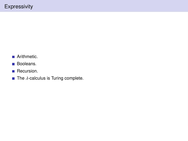- Arithmetic.
- **Booleans.**
- Recursion.
- The  $\lambda$ -calculus is Turing complete.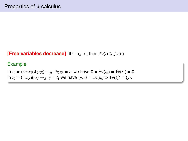**[Free variables decrease]** If  $t \rightarrow_\beta t'$ , then  $f v(t) \supseteq f v(t')$ .

### Example

In  $t_0 = (\lambda x.x)(\lambda z.zz) \rightarrow_\beta \lambda z.zz = t_1$  we have  $\emptyset = \textbf{fv}(t_0) = \textbf{fv}(t_1) = \emptyset$ . In *t*<sub>0</sub> = (λ*x.y*)(*zz*) →<sub>β</sub> *y* = *t*<sub>1</sub> we have {*y*,*z*} = **fv**(*t*<sub>0</sub>) ⊇ **fv**(*t*<sub>1</sub>) = {*y*}.